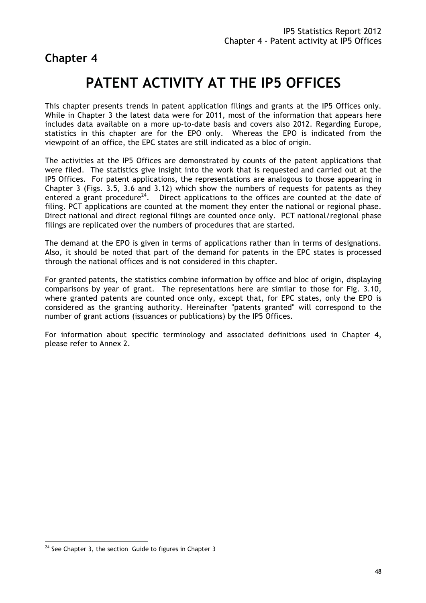**Chapter 4** 

# **PATENT ACTIVITY AT THE IP5 OFFICES**

This chapter presents trends in patent application filings and grants at the IP5 Offices only. While in Chapter 3 the latest data were for 2011, most of the information that appears here includes data available on a more up-to-date basis and covers also 2012. Regarding Europe, statistics in this chapter are for the EPO only. Whereas the EPO is indicated from the viewpoint of an office, the EPC states are still indicated as a bloc of origin.

The activities at the IP5 Offices are demonstrated by counts of the patent applications that were filed. The statistics give insight into the work that is requested and carried out at the IP5 Offices. For patent applications, the representations are analogous to those appearing in Chapter 3 (Figs. 3.5, 3.6 and 3.12) which show the numbers of requests for patents as they entered a grant procedure<sup>24</sup>. Direct applications to the offices are counted at the date of filing. PCT applications are counted at the moment they enter the national or regional phase. Direct national and direct regional filings are counted once only. PCT national/regional phase filings are replicated over the numbers of procedures that are started.

The demand at the EPO is given in terms of applications rather than in terms of designations. Also, it should be noted that part of the demand for patents in the EPC states is processed through the national offices and is not considered in this chapter.

For granted patents, the statistics combine information by office and bloc of origin, displaying comparisons by year of grant. The representations here are similar to those for Fig. 3.10, where granted patents are counted once only, except that, for EPC states, only the EPO is considered as the granting authority. Hereinafter "patents granted" will correspond to the number of grant actions (issuances or publications) by the IP5 Offices.

For information about specific terminology and associated definitions used in Chapter 4, please refer to Annex 2.

 $\overline{a}$  $24$  See Chapter 3, the section Guide to figures in Chapter 3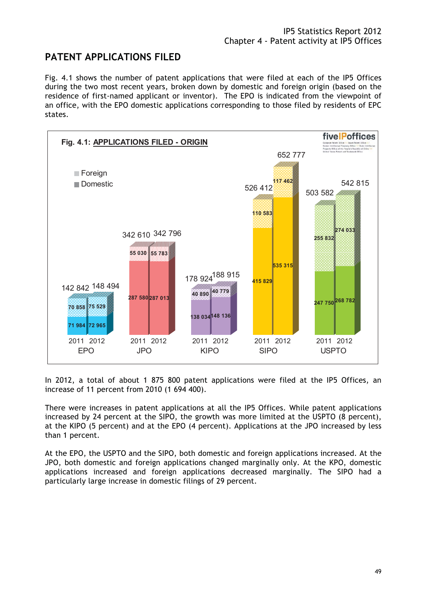## **PATENT APPLICATIONS FILED**

Fig. 4.1 shows the number of patent applications that were filed at each of the IP5 Offices during the two most recent years, broken down by domestic and foreign origin (based on the residence of first-named applicant or inventor). The EPO is indicated from the viewpoint of an office, with the EPO domestic applications corresponding to those filed by residents of EPC states.



In 2012, a total of about 1 875 800 patent applications were filed at the IP5 Offices, an increase of 11 percent from 2010 (1 694 400).

There were increases in patent applications at all the IP5 Offices. While patent applications increased by 24 percent at the SIPO, the growth was more limited at the USPTO (8 percent), at the KIPO (5 percent) and at the EPO (4 percent). Applications at the JPO increased by less than 1 percent.

At the EPO, the USPTO and the SIPO, both domestic and foreign applications increased. At the JPO, both domestic and foreign applications changed marginally only. At the KPO, domestic applications increased and foreign applications decreased marginally. The SIPO had a particularly large increase in domestic filings of 29 percent.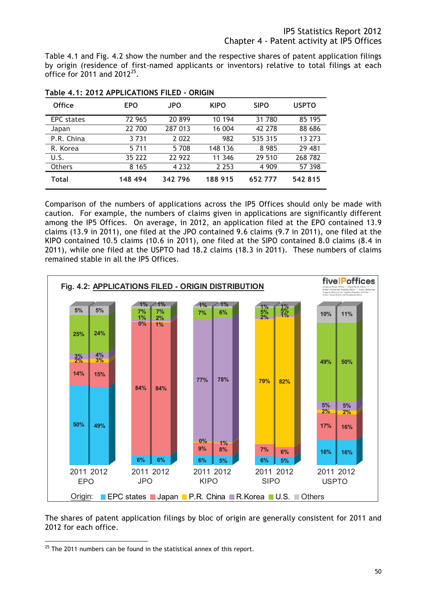Table 4.1 and Fig. 4.2 show the number and the respective shares of patent application filings by origin (residence of first-named applicants or inventors) relative to total filings at each office for  $2011$  and  $2012^{25}$ .

| <b>Office</b>     | <b>EPO</b> | <b>JPO</b> | <b>KIPO</b> | <b>SIPO</b> | <b>USPTO</b> |
|-------------------|------------|------------|-------------|-------------|--------------|
| <b>EPC</b> states | 72 965     | 20899      | 10 194      | 31 780      | 85 195       |
| Japan             | 22 700     | 287 013    | 16 004      | 42 278      | 88 686       |
| P.R. China        | 3 7 3 1    | 2 0 2 2    | 982         | 535 315     | 13 273       |
| R. Korea          | 5 7 1 1    | 5 708      | 148 136     | 8985        | 29 481       |
| U.S.              | 35 222     | 22 922     | 11 346      | 29 510      | 268 782      |
| Others            | 8 1 6 5    | 4 2 3 2    | 2 2 5 3     | 4 9 0 9     | 57 398       |
| <b>Total</b>      | 148 494    | 342 796    | 188 915     | 652777      | 542 815      |

**Table 4.1: 2012 APPLICATIONS FILED - ORIGIN** 

Comparison of the numbers of applications across the IP5 Offices should only be made with caution. For example, the numbers of claims given in applications are significantly different among the IP5 Offices. On average, in 2012, an application filed at the EPO contained 13.9 claims (13.9 in 2011), one filed at the JPO contained 9.6 claims (9.7 in 2011), one filed at the KIPO contained 10.5 claims (10.6 in 2011), one filed at the SIPO contained 8.0 claims (8.4 in 2011), while one filed at the USPTO had 18.2 claims (18.3 in 2011). These numbers of claims remained stable in all the IP5 Offices.



The shares of patent application filings by bloc of origin are generally consistent for 2011 and 2012 for each office.

 $\overline{a}$  $25$  The 2011 numbers can be found in the statistical annex of this report.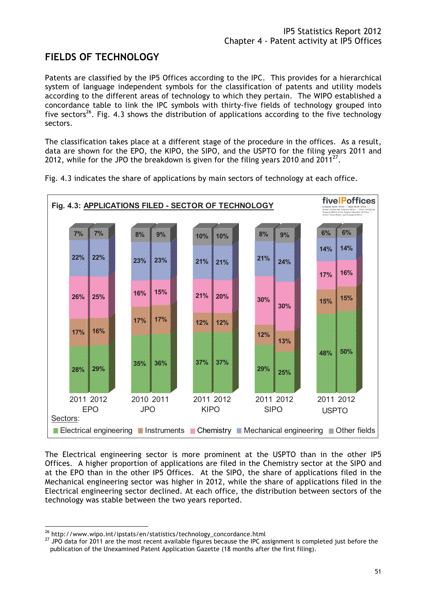## **FIELDS OF TECHNOLOGY**

Patents are classified by the IP5 Offices according to the IPC. This provides for a hierarchical system of language independent symbols for the classification of patents and utility models according to the different areas of technology to which they pertain. The WIPO established a concordance table to link the IPC symbols with thirty-five fields of technology grouped into five sectors<sup>26</sup>. Fig. 4.3 shows the distribution of applications according to the five technology sectors.

The classification takes place at a different stage of the procedure in the offices. As a result, data are shown for the EPO, the KIPO, the SIPO, and the USPTO for the filing years 2011 and 2012, while for the JPO the breakdown is given for the filing years 2010 and 2011 $^{27}$ .



Fig. 4.3 indicates the share of applications by main sectors of technology at each office.

The Electrical engineering sector is more prominent at the USPTO than in the other IP5 Offices. A higher proportion of applications are filed in the Chemistry sector at the SIPO and at the EPO than in the other IP5 Offices. At the SIPO, the share of applications filed in the Mechanical engineering sector was higher in 2012, while the share of applications filed in the Electrical engineering sector declined. At each office, the distribution between sectors of the technology was stable between the two years reported.

<sup>&</sup>lt;sup>26</sup> http://www.wipo.int/ipstats/en/statistics/technology\_concordance.html

<sup>&</sup>lt;sup>27</sup> JPO data for 2011 are the most recent available figures because the IPC assignment is completed just before the publication of the Unexamined Patent Application Gazette (18 months after the first filing).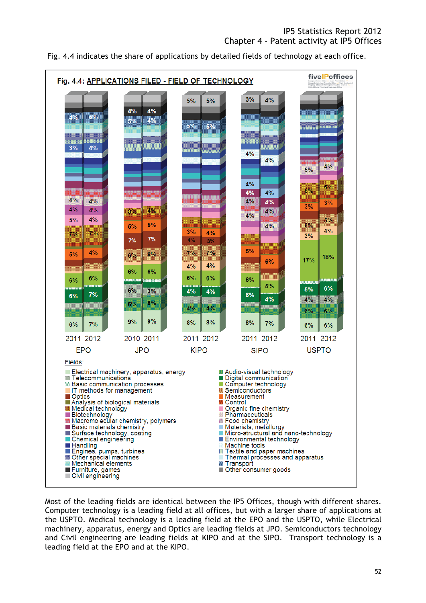Fig. 4.4 indicates the share of applications by detailed fields of technology at each office.



Most of the leading fields are identical between the IP5 Offices, though with different shares. Computer technology is a leading field at all offices, but with a larger share of applications at the USPTO. Medical technology is a leading field at the EPO and the USPTO, while Electrical machinery, apparatus, energy and Optics are leading fields at JPO. Semiconductors technology and Civil engineering are leading fields at KIPO and at the SIPO. Transport technology is a leading field at the EPO and at the KIPO.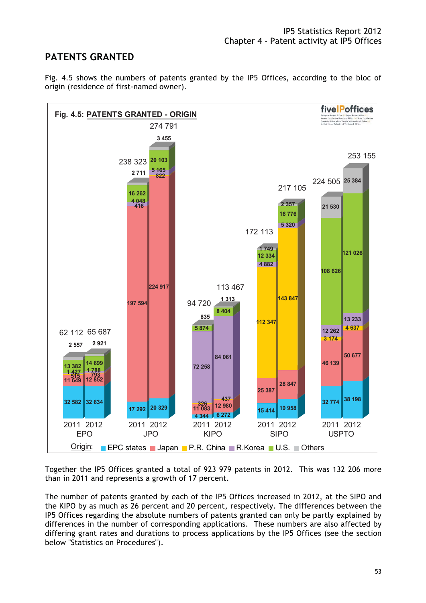### **PATENTS GRANTED**





Together the IP5 Offices granted a total of 923 979 patents in 2012. This was 132 206 more than in 2011 and represents a growth of 17 percent.

The number of patents granted by each of the IP5 Offices increased in 2012, at the SIPO and the KIPO by as much as 26 percent and 20 percent, respectively. The differences between the IP5 Offices regarding the absolute numbers of patents granted can only be partly explained by differences in the number of corresponding applications. These numbers are also affected by differing grant rates and durations to process applications by the IP5 Offices (see the section below "Statistics on Procedures").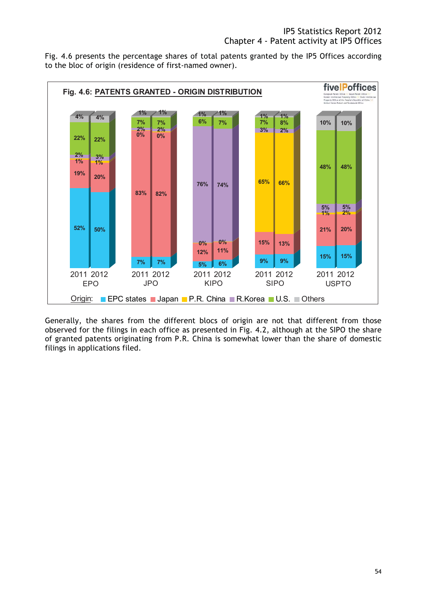Fig. 4.6 presents the percentage shares of total patents granted by the IP5 Offices according to the bloc of origin (residence of first-named owner).



Generally, the shares from the different blocs of origin are not that different from those observed for the filings in each office as presented in Fig. 4.2, although at the SIPO the share of granted patents originating from P.R. China is somewhat lower than the share of domestic filings in applications filed.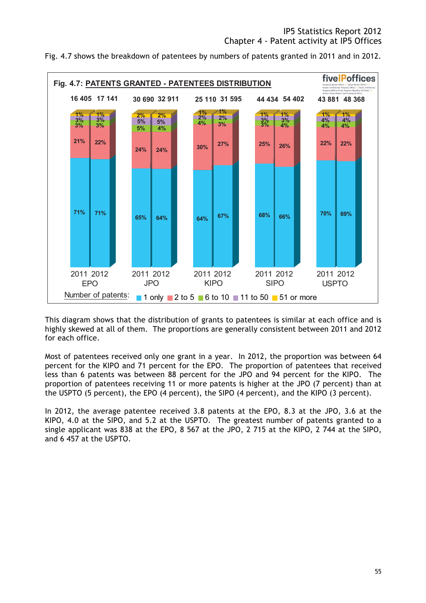



This diagram shows that the distribution of grants to patentees is similar at each office and is highly skewed at all of them. The proportions are generally consistent between 2011 and 2012 for each office.

Most of patentees received only one grant in a year. In 2012, the proportion was between 64 percent for the KIPO and 71 percent for the EPO. The proportion of patentees that received less than 6 patents was between 88 percent for the JPO and 94 percent for the KIPO. The proportion of patentees receiving 11 or more patents is higher at the JPO (7 percent) than at the USPTO (5 percent), the EPO (4 percent), the SIPO (4 percent), and the KIPO (3 percent).

In 2012, the average patentee received 3.8 patents at the EPO, 8.3 at the JPO, 3.6 at the KIPO, 4.0 at the SIPO, and 5.2 at the USPTO. The greatest number of patents granted to a single applicant was 838 at the EPO, 8 567 at the JPO, 2 715 at the KIPO, 2 744 at the SIPO, and 6 457 at the USPTO.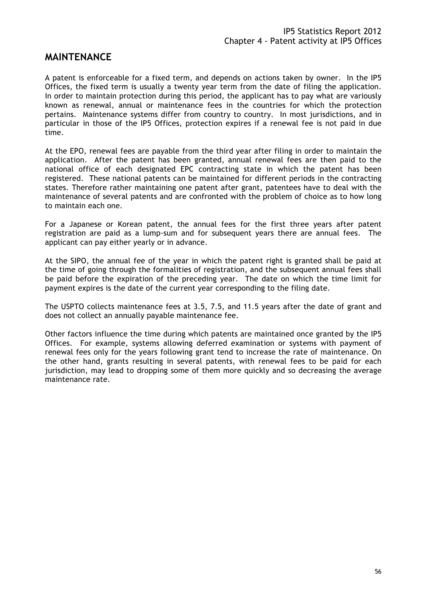#### **MAINTENANCE**

A patent is enforceable for a fixed term, and depends on actions taken by owner. In the IP5 Offices, the fixed term is usually a twenty year term from the date of filing the application. In order to maintain protection during this period, the applicant has to pay what are variously known as renewal, annual or maintenance fees in the countries for which the protection pertains. Maintenance systems differ from country to country. In most jurisdictions, and in particular in those of the IP5 Offices, protection expires if a renewal fee is not paid in due time.

At the EPO, renewal fees are payable from the third year after filing in order to maintain the application. After the patent has been granted, annual renewal fees are then paid to the national office of each designated EPC contracting state in which the patent has been registered. These national patents can be maintained for different periods in the contracting states. Therefore rather maintaining one patent after grant, patentees have to deal with the maintenance of several patents and are confronted with the problem of choice as to how long to maintain each one.

For a Japanese or Korean patent, the annual fees for the first three years after patent registration are paid as a lump-sum and for subsequent years there are annual fees. The applicant can pay either yearly or in advance.

At the SIPO, the annual fee of the year in which the patent right is granted shall be paid at the time of going through the formalities of registration, and the subsequent annual fees shall be paid before the expiration of the preceding year. The date on which the time limit for payment expires is the date of the current year corresponding to the filing date.

The USPTO collects maintenance fees at 3.5, 7.5, and 11.5 years after the date of grant and does not collect an annually payable maintenance fee.

Other factors influence the time during which patents are maintained once granted by the IP5 Offices. For example, systems allowing deferred examination or systems with payment of renewal fees only for the years following grant tend to increase the rate of maintenance. On the other hand, grants resulting in several patents, with renewal fees to be paid for each jurisdiction, may lead to dropping some of them more quickly and so decreasing the average maintenance rate.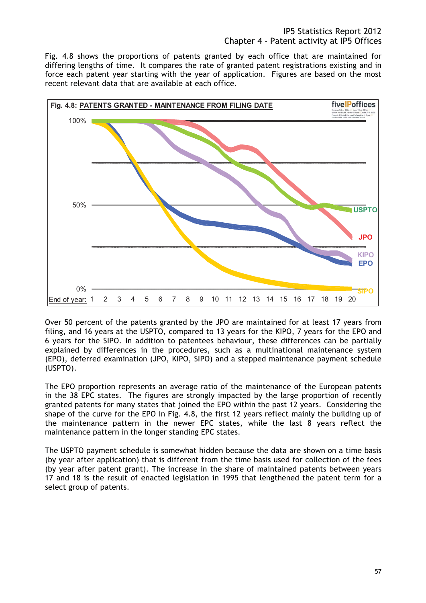Fig. 4.8 shows the proportions of patents granted by each office that are maintained for differing lengths of time. It compares the rate of granted patent registrations existing and in force each patent year starting with the year of application. Figures are based on the most recent relevant data that are available at each office.



Over 50 percent of the patents granted by the JPO are maintained for at least 17 years from filing, and 16 years at the USPTO, compared to 13 years for the KIPO, 7 years for the EPO and 6 years for the SIPO. In addition to patentees behaviour, these differences can be partially explained by differences in the procedures, such as a multinational maintenance system (EPO), deferred examination (JPO, KIPO, SIPO) and a stepped maintenance payment schedule (USPTO).

The EPO proportion represents an average ratio of the maintenance of the European patents in the 38 EPC states. The figures are strongly impacted by the large proportion of recently granted patents for many states that joined the EPO within the past 12 years. Considering the shape of the curve for the EPO in Fig. 4.8, the first 12 years reflect mainly the building up of the maintenance pattern in the newer EPC states, while the last 8 years reflect the maintenance pattern in the longer standing EPC states.

The USPTO payment schedule is somewhat hidden because the data are shown on a time basis (by year after application) that is different from the time basis used for collection of the fees (by year after patent grant). The increase in the share of maintained patents between years 17 and 18 is the result of enacted legislation in 1995 that lengthened the patent term for a select group of patents.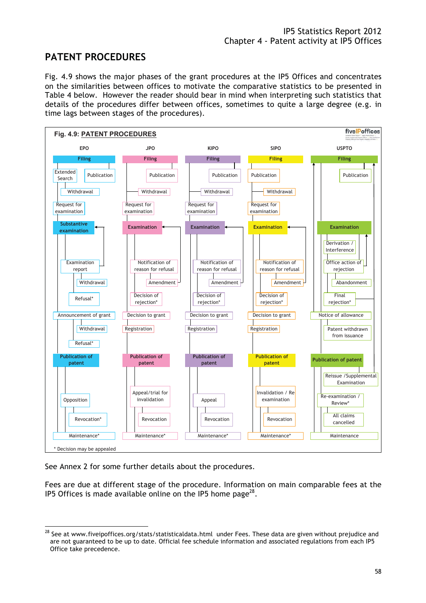## **PATENT PROCEDURES**

Fig. 4.9 shows the major phases of the grant procedures at the IP5 Offices and concentrates on the similarities between offices to motivate the comparative statistics to be presented in Table 4 below. However the reader should bear in mind when interpreting such statistics that details of the procedures differ between offices, sometimes to quite a large degree (e.g. in time lags between stages of the procedures).



See Annex 2 for some further details about the procedures.

Fees are due at different stage of the procedure. Information on main comparable fees at the IP5 Offices is made available online on the IP5 home page<sup>28</sup>.

 $\overline{a}$  $^{28}$  See at www.fiveipoffices.org/stats/statisticaldata.html under Fees. These data are given without prejudice and are not guaranteed to be up to date. Official fee schedule information and associated regulations from each IP5 Office take precedence.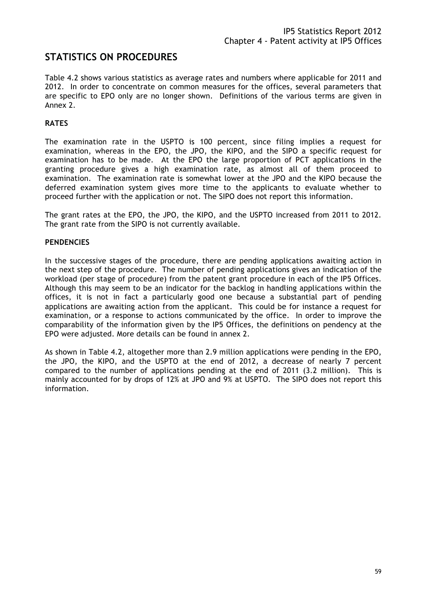#### **STATISTICS ON PROCEDURES**

Table 4.2 shows various statistics as average rates and numbers where applicable for 2011 and 2012. In order to concentrate on common measures for the offices, several parameters that are specific to EPO only are no longer shown. Definitions of the various terms are given in Annex 2.

#### **RATES**

The examination rate in the USPTO is 100 percent, since filing implies a request for examination, whereas in the EPO, the JPO, the KIPO, and the SIPO a specific request for examination has to be made. At the EPO the large proportion of PCT applications in the granting procedure gives a high examination rate, as almost all of them proceed to examination. The examination rate is somewhat lower at the JPO and the KIPO because the deferred examination system gives more time to the applicants to evaluate whether to proceed further with the application or not. The SIPO does not report this information.

The grant rates at the EPO, the JPO, the KIPO, and the USPTO increased from 2011 to 2012. The grant rate from the SIPO is not currently available.

#### **PENDENCIES**

In the successive stages of the procedure, there are pending applications awaiting action in the next step of the procedure. The number of pending applications gives an indication of the workload (per stage of procedure) from the patent grant procedure in each of the IP5 Offices. Although this may seem to be an indicator for the backlog in handling applications within the offices, it is not in fact a particularly good one because a substantial part of pending applications are awaiting action from the applicant. This could be for instance a request for examination, or a response to actions communicated by the office. In order to improve the comparability of the information given by the IP5 Offices, the definitions on pendency at the EPO were adjusted. More details can be found in annex 2.

As shown in Table 4.2, altogether more than 2.9 million applications were pending in the EPO, the JPO, the KIPO, and the USPTO at the end of 2012, a decrease of nearly 7 percent compared to the number of applications pending at the end of 2011 (3.2 million). This is mainly accounted for by drops of 12% at JPO and 9% at USPTO. The SIPO does not report this information.